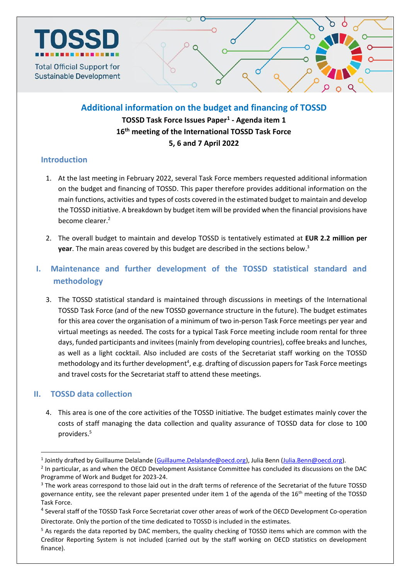

# **Additional information on the budget and financing of TOSSD**

**TOSSD Task Force Issues Paper<sup>1</sup> - Agenda item 1 16 th meeting of the International TOSSD Task Force 5, 6 and 7 April 2022**

### **Introduction**

- 1. At the last meeting in February 2022, several Task Force members requested additional information on the budget and financing of TOSSD. This paper therefore provides additional information on the main functions, activities and types of costs covered in the estimated budget to maintain and develop the TOSSD initiative. A breakdown by budget item will be provided when the financial provisions have become clearer. 2
- 2. The overall budget to maintain and develop TOSSD is tentatively estimated at **EUR 2.2 million per year**. The main areas covered by this budget are described in the sections below. 3
- **I. Maintenance and further development of the TOSSD statistical standard and methodology**
	- 3. The TOSSD statistical standard is maintained through discussions in meetings of the International TOSSD Task Force (and of the new TOSSD governance structure in the future). The budget estimates for this area cover the organisation of a minimum of two in-person Task Force meetings per year and virtual meetings as needed. The costs for a typical Task Force meeting include room rental for three days, funded participants and invitees(mainly from developing countries), coffee breaks and lunches, as well as a light cocktail. Also included are costs of the Secretariat staff working on the TOSSD methodology and its further development<sup>4</sup>, e.g. drafting of discussion papers for Task Force meetings and travel costs for the Secretariat staff to attend these meetings.

## **II. TOSSD data collection**

1

4. This area is one of the core activities of the TOSSD initiative. The budget estimates mainly cover the costs of staff managing the data collection and quality assurance of TOSSD data for close to 100 providers.<sup>5</sup>

<sup>&</sup>lt;sup>1</sup> Jointly drafted by Guillaume Delalande [\(Guillaume.Delalande@oecd.org\)](mailto:Guillaume.Delalande@oecd.org), Julia Benn (<u>Julia.Benn@oecd.org</u>).

<sup>&</sup>lt;sup>2</sup> In particular, as and when the OECD Development Assistance Committee has concluded its discussions on the DAC Programme of Work and Budget for 2023-24.

<sup>&</sup>lt;sup>3</sup> The work areas correspond to those laid out in the draft terms of reference of the Secretariat of the future TOSSD governance entity, see the relevant paper presented under item 1 of the agenda of the 16<sup>th</sup> meeting of the TOSSD Task Force.

<sup>&</sup>lt;sup>4</sup> Several staff of the TOSSD Task Force Secretariat cover other areas of work of the OECD Development Co-operation Directorate. Only the portion of the time dedicated to TOSSD is included in the estimates.

<sup>&</sup>lt;sup>5</sup> As regards the data reported by DAC members, the quality checking of TOSSD items which are common with the Creditor Reporting System is not included (carried out by the staff working on OECD statistics on development finance).